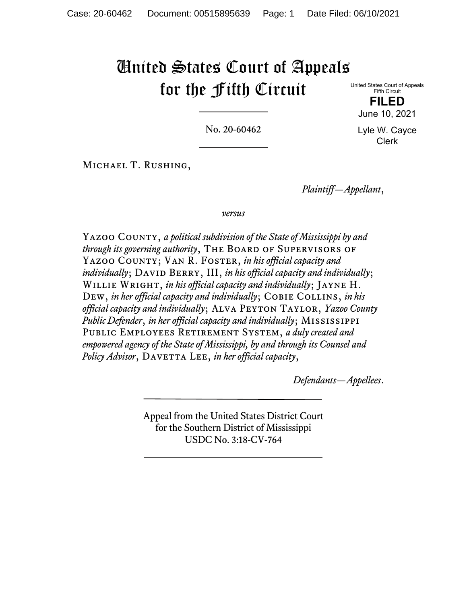# United States Court of Appeals for the Fifth Circuit

United States Court of Appeals Fifth Circuit

**FILED**  June 10, 2021

Lyle W. Cayce Clerk

No. 20-60462

Michael T. Rushing,

*Plaintiff—Appellant*,

*versus*

Yazoo County, *a political subdivision of the State of Mississippi by and through its governing authority*, THE BOARD OF SUPERVISORS OF YAZOO COUNTY; VAN R. FOSTER, *in his official capacity and individually*; DAVID BERRY, III, *in his official capacity and individually*; Willie Wright, *in his official capacity and individually*; Jayne H. DEW, *in her official capacity and individually*; COBIE COLLINS, *in his official capacity and individually*; Alva Peyton Taylor, *Yazoo County Public Defender*, *in her official capacity and individually*; Mississippi Public Employees Retirement System, *a duly created and empowered agency of the State of Mississippi, by and through its Counsel and Policy Advisor*, DAVETTA LEE, *in her official capacity*,

*Defendants—Appellees*.

Appeal from the United States District Court for the Southern District of Mississippi USDC No. 3:18-CV-764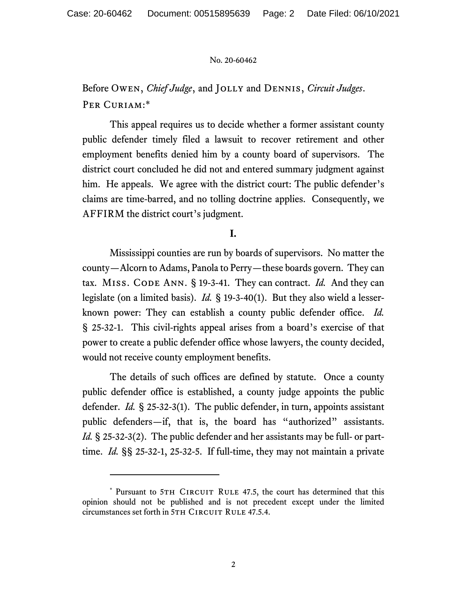Before Owen, *Chief Judge*, and Jolly and Dennis, *Circuit Judges*. PER CURIAM:\*

This appeal requires us to decide whether a former assistant county public defender timely filed a lawsuit to recover retirement and other employment benefits denied him by a county board of supervisors. The district court concluded he did not and entered summary judgment against him. He appeals. We agree with the district court: The public defender's claims are time-barred, and no tolling doctrine applies. Consequently, we AFFIRM the district court's judgment.

## **I.**

Mississippi counties are run by boards of supervisors. No matter the county—Alcorn to Adams, Panola to Perry—these boards govern. They can tax. MISS. CODE ANN. § 19-3-41. They can contract. *Id.* And they can legislate (on a limited basis). *Id.* § 19-3-40(1). But they also wield a lesserknown power: They can establish a county public defender office. *Id.* § 25-32-1. This civil-rights appeal arises from a board's exercise of that power to create a public defender office whose lawyers, the county decided, would not receive county employment benefits.

The details of such offices are defined by statute. Once a county public defender office is established, a county judge appoints the public defender. *Id.* § 25-32-3(1). The public defender, in turn, appoints assistant public defenders—if, that is, the board has "authorized" assistants. *Id.* § 25-32-3(2). The public defender and her assistants may be full- or parttime. *Id.* §§ 25-32-1, 25-32-5. If full-time, they may not maintain a private

<sup>\*</sup> Pursuant to 5TH CIRCUIT RULE 47.5, the court has determined that this opinion should not be published and is not precedent except under the limited circumstances set forth in 5TH CIRCUIT RULE 47.5.4.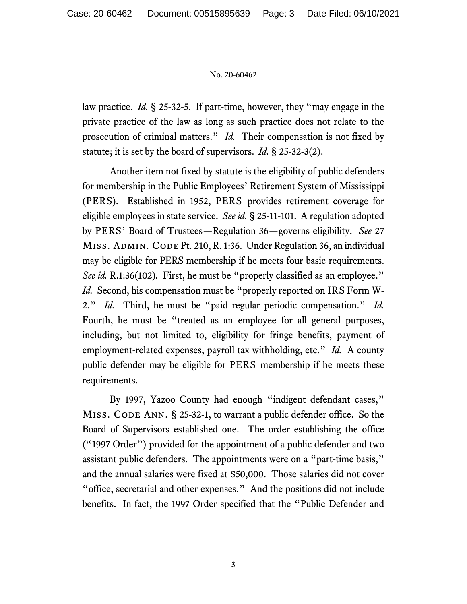law practice. *Id.* § 25-32-5. If part-time, however, they "may engage in the private practice of the law as long as such practice does not relate to the prosecution of criminal matters." *Id.* Their compensation is not fixed by statute; it is set by the board of supervisors. *Id.* § 25-32-3(2).

Another item not fixed by statute is the eligibility of public defenders for membership in the Public Employees' Retirement System of Mississippi (PERS). Established in 1952, PERS provides retirement coverage for eligible employees in state service. *See id.* § 25-11-101. A regulation adopted by PERS' Board of Trustees—Regulation 36—governs eligibility. *See* 27 MISS. ADMIN. CODE Pt. 210, R. 1:36. Under Regulation 36, an individual may be eligible for PERS membership if he meets four basic requirements. *See id.* R.1:36(102). First, he must be "properly classified as an employee." *Id.* Second, his compensation must be "properly reported on IRS Form W-2." *Id.* Third, he must be "paid regular periodic compensation." *Id.* Fourth, he must be "treated as an employee for all general purposes, including, but not limited to, eligibility for fringe benefits, payment of employment-related expenses, payroll tax withholding, etc." *Id.* A county public defender may be eligible for PERS membership if he meets these requirements.

By 1997, Yazoo County had enough "indigent defendant cases," MISS. CODE ANN.  $\S$  25-32-1, to warrant a public defender office. So the Board of Supervisors established one. The order establishing the office ("1997 Order") provided for the appointment of a public defender and two assistant public defenders. The appointments were on a "part-time basis," and the annual salaries were fixed at \$50,000. Those salaries did not cover "office, secretarial and other expenses." And the positions did not include benefits. In fact, the 1997 Order specified that the "Public Defender and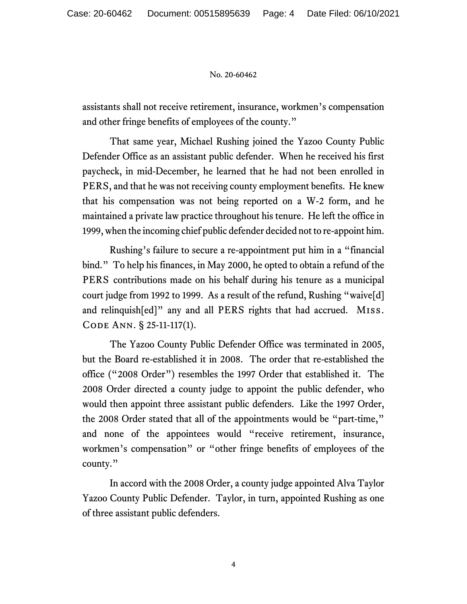assistants shall not receive retirement, insurance, workmen's compensation and other fringe benefits of employees of the county."

That same year, Michael Rushing joined the Yazoo County Public Defender Office as an assistant public defender. When he received his first paycheck, in mid-December, he learned that he had not been enrolled in PERS, and that he was not receiving county employment benefits. He knew that his compensation was not being reported on a W-2 form, and he maintained a private law practice throughout his tenure. He left the office in 1999, when the incoming chief public defender decided not to re-appoint him.

Rushing's failure to secure a re-appointment put him in a "financial bind." To help his finances, in May 2000, he opted to obtain a refund of the PERS contributions made on his behalf during his tenure as a municipal court judge from 1992 to 1999. As a result of the refund, Rushing "waive[d] and relinquish[ed]" any and all PERS rights that had accrued. Miss. Code Ann. § 25-11-117(1).

The Yazoo County Public Defender Office was terminated in 2005, but the Board re-established it in 2008. The order that re-established the office ("2008 Order") resembles the 1997 Order that established it. The 2008 Order directed a county judge to appoint the public defender, who would then appoint three assistant public defenders. Like the 1997 Order, the 2008 Order stated that all of the appointments would be "part-time," and none of the appointees would "receive retirement, insurance, workmen's compensation" or "other fringe benefits of employees of the county."

In accord with the 2008 Order, a county judge appointed Alva Taylor Yazoo County Public Defender. Taylor, in turn, appointed Rushing as one of three assistant public defenders.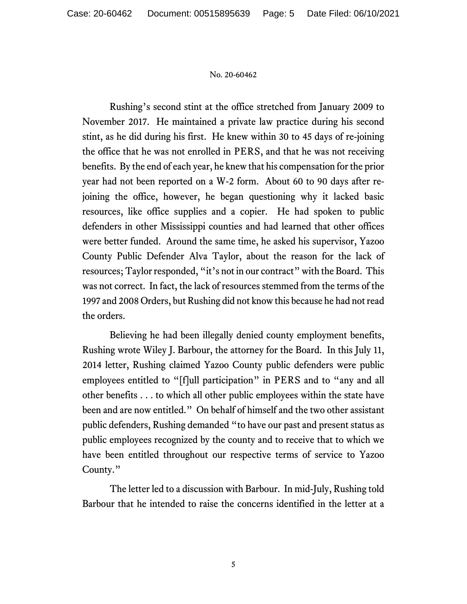Rushing's second stint at the office stretched from January 2009 to November 2017. He maintained a private law practice during his second stint, as he did during his first. He knew within 30 to 45 days of re-joining the office that he was not enrolled in PERS, and that he was not receiving benefits. By the end of each year, he knew that his compensation for the prior year had not been reported on a W-2 form. About 60 to 90 days after rejoining the office, however, he began questioning why it lacked basic resources, like office supplies and a copier. He had spoken to public defenders in other Mississippi counties and had learned that other offices were better funded. Around the same time, he asked his supervisor, Yazoo County Public Defender Alva Taylor, about the reason for the lack of resources; Taylor responded, "it's not in our contract" with the Board. This was not correct. In fact, the lack of resources stemmed from the terms of the 1997 and 2008 Orders, but Rushing did not know this because he had not read the orders.

Believing he had been illegally denied county employment benefits, Rushing wrote Wiley J. Barbour, the attorney for the Board. In this July 11, 2014 letter, Rushing claimed Yazoo County public defenders were public employees entitled to "[f]ull participation" in PERS and to "any and all other benefits . . . to which all other public employees within the state have been and are now entitled." On behalf of himself and the two other assistant public defenders, Rushing demanded "to have our past and present status as public employees recognized by the county and to receive that to which we have been entitled throughout our respective terms of service to Yazoo County."

The letter led to a discussion with Barbour. In mid-July, Rushing told Barbour that he intended to raise the concerns identified in the letter at a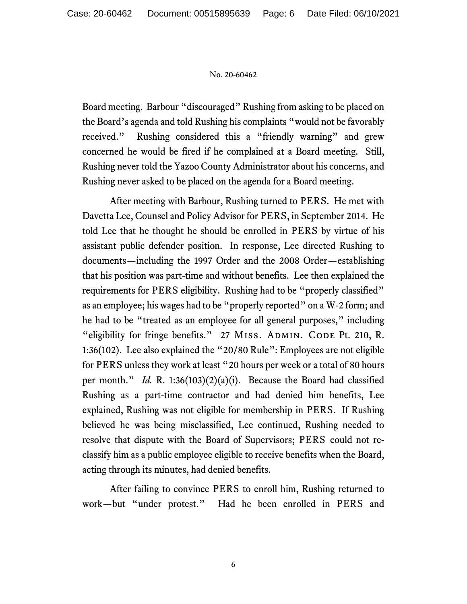Board meeting. Barbour "discouraged" Rushing from asking to be placed on the Board's agenda and told Rushing his complaints "would not be favorably received." Rushing considered this a "friendly warning" and grew concerned he would be fired if he complained at a Board meeting. Still, Rushing never told the Yazoo County Administrator about his concerns, and Rushing never asked to be placed on the agenda for a Board meeting.

After meeting with Barbour, Rushing turned to PERS. He met with Davetta Lee, Counsel and Policy Advisor for PERS, in September 2014. He told Lee that he thought he should be enrolled in PERS by virtue of his assistant public defender position. In response, Lee directed Rushing to documents—including the 1997 Order and the 2008 Order—establishing that his position was part-time and without benefits. Lee then explained the requirements for PERS eligibility. Rushing had to be "properly classified" as an employee; his wages had to be "properly reported" on a W-2 form; and he had to be "treated as an employee for all general purposes," including "eligibility for fringe benefits." 27 MISS. ADMIN. CODE Pt. 210, R. 1:36(102). Lee also explained the "20/80 Rule": Employees are not eligible for PERS unless they work at least "20 hours per week or a total of 80 hours per month." *Id.* R. 1:36(103)(2)(a)(i). Because the Board had classified Rushing as a part-time contractor and had denied him benefits, Lee explained, Rushing was not eligible for membership in PERS. If Rushing believed he was being misclassified, Lee continued, Rushing needed to resolve that dispute with the Board of Supervisors; PERS could not reclassify him as a public employee eligible to receive benefits when the Board, acting through its minutes, had denied benefits.

After failing to convince PERS to enroll him, Rushing returned to work—but "under protest." Had he been enrolled in PERS and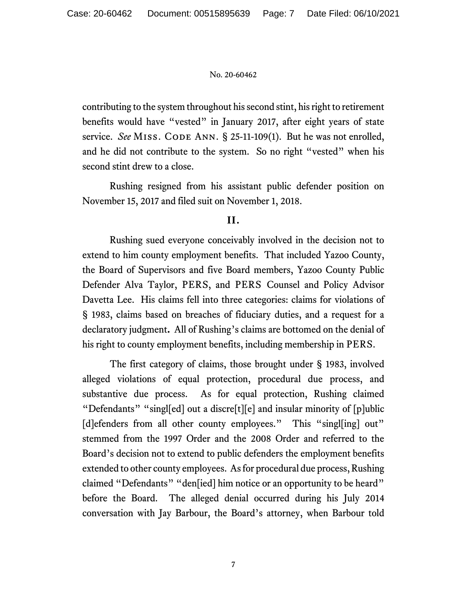contributing to the system throughout his second stint, his right to retirement benefits would have "vested" in January 2017, after eight years of state service. *See* MISS. CODE ANN. § 25-11-109(1). But he was not enrolled, and he did not contribute to the system. So no right "vested" when his second stint drew to a close.

Rushing resigned from his assistant public defender position on November 15, 2017 and filed suit on November 1, 2018.

# **II.**

Rushing sued everyone conceivably involved in the decision not to extend to him county employment benefits. That included Yazoo County, the Board of Supervisors and five Board members, Yazoo County Public Defender Alva Taylor, PERS, and PERS Counsel and Policy Advisor Davetta Lee. His claims fell into three categories: claims for violations of § 1983, claims based on breaches of fiduciary duties, and a request for a declaratory judgment**.** All of Rushing's claims are bottomed on the denial of his right to county employment benefits, including membership in PERS.

 The first category of claims, those brought under § 1983, involved alleged violations of equal protection, procedural due process, and substantive due process. As for equal protection, Rushing claimed "Defendants" "singl[ed] out a discre[t][e] and insular minority of [p]ublic [d]efenders from all other county employees." This "singl[ing] out" stemmed from the 1997 Order and the 2008 Order and referred to the Board's decision not to extend to public defenders the employment benefits extended to other county employees. As for procedural due process, Rushing claimed "Defendants" "den[ied] him notice or an opportunity to be heard" before the Board. The alleged denial occurred during his July 2014 conversation with Jay Barbour, the Board's attorney, when Barbour told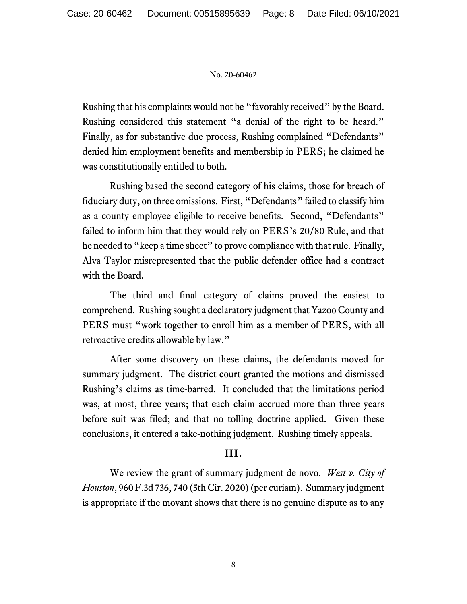Rushing that his complaints would not be "favorably received" by the Board. Rushing considered this statement "a denial of the right to be heard." Finally, as for substantive due process, Rushing complained "Defendants" denied him employment benefits and membership in PERS; he claimed he was constitutionally entitled to both.

Rushing based the second category of his claims, those for breach of fiduciary duty, on three omissions. First, "Defendants" failed to classify him as a county employee eligible to receive benefits. Second, "Defendants" failed to inform him that they would rely on PERS's 20/80 Rule, and that he needed to "keep a time sheet" to prove compliance with that rule. Finally, Alva Taylor misrepresented that the public defender office had a contract with the Board.

The third and final category of claims proved the easiest to comprehend. Rushing sought a declaratory judgment that Yazoo County and PERS must "work together to enroll him as a member of PERS, with all retroactive credits allowable by law."

After some discovery on these claims, the defendants moved for summary judgment. The district court granted the motions and dismissed Rushing's claims as time-barred. It concluded that the limitations period was, at most, three years; that each claim accrued more than three years before suit was filed; and that no tolling doctrine applied. Given these conclusions, it entered a take-nothing judgment. Rushing timely appeals.

# **III.**

 We review the grant of summary judgment de novo. *West v. City of Houston*, 960 F.3d 736, 740 (5th Cir. 2020) (per curiam). Summary judgment is appropriate if the movant shows that there is no genuine dispute as to any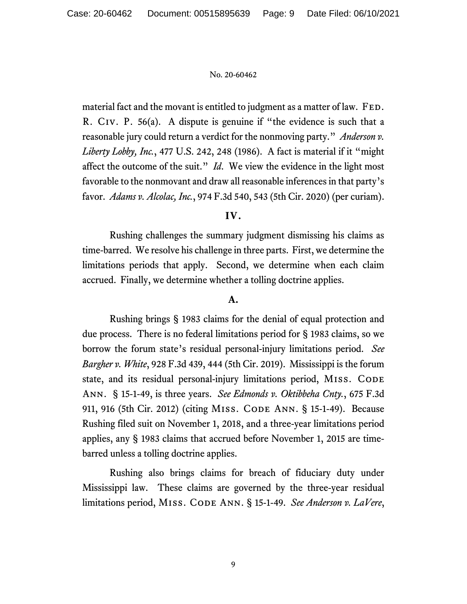material fact and the movant is entitled to judgment as a matter of law. FED. R. Civ. P. 56(a). A dispute is genuine if "the evidence is such that a reasonable jury could return a verdict for the nonmoving party." *Anderson v. Liberty Lobby, Inc.*, 477 U.S. 242, 248 (1986). A fact is material if it "might affect the outcome of the suit." *Id*. We view the evidence in the light most favorable to the nonmovant and draw all reasonable inferences in that party's favor. *Adams v. Alcolac, Inc.*, 974 F.3d 540, 543 (5th Cir. 2020) (per curiam).

# **IV.**

Rushing challenges the summary judgment dismissing his claims as time-barred. We resolve his challenge in three parts. First, we determine the limitations periods that apply. Second, we determine when each claim accrued. Finally, we determine whether a tolling doctrine applies.

## **A.**

 Rushing brings § 1983 claims for the denial of equal protection and due process. There is no federal limitations period for § 1983 claims, so we borrow the forum state's residual personal-injury limitations period. *See Bargher v. White*, 928 F.3d 439, 444 (5th Cir. 2019). Mississippi is the forum state, and its residual personal-injury limitations period, MISS. CODE Ann. § 15-1-49, is three years. *See Edmonds v. Oktibbeha Cnty.*, 675 F.3d 911, 916 (5th Cir. 2012) (citing Miss. Code Ann. § 15-1-49). Because Rushing filed suit on November 1, 2018, and a three-year limitations period applies, any § 1983 claims that accrued before November 1, 2015 are timebarred unless a tolling doctrine applies.

 Rushing also brings claims for breach of fiduciary duty under Mississippi law. These claims are governed by the three-year residual limitations period, Miss. Code Ann. § 15-1-49. *See Anderson v. LaVere*,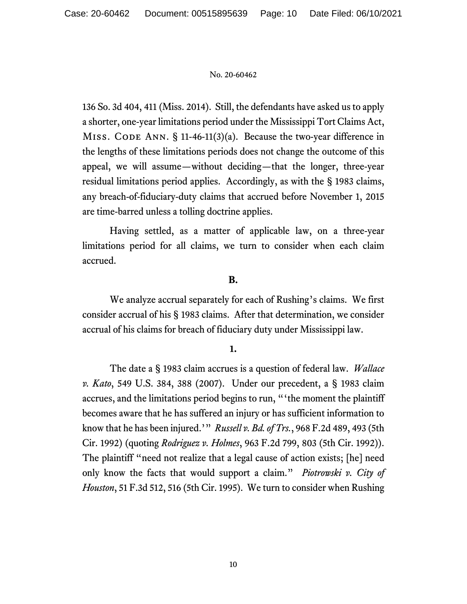136 So. 3d 404, 411 (Miss. 2014). Still, the defendants have asked us to apply a shorter, one-year limitations period under the Mississippi Tort Claims Act, MISS. CODE ANN.  $\S$  11-46-11(3)(a). Because the two-year difference in the lengths of these limitations periods does not change the outcome of this appeal, we will assume—without deciding—that the longer, three-year residual limitations period applies. Accordingly, as with the § 1983 claims, any breach-of-fiduciary-duty claims that accrued before November 1, 2015 are time-barred unless a tolling doctrine applies.

 Having settled, as a matter of applicable law, on a three-year limitations period for all claims, we turn to consider when each claim accrued.

# **B.**

 We analyze accrual separately for each of Rushing's claims. We first consider accrual of his § 1983 claims. After that determination, we consider accrual of his claims for breach of fiduciary duty under Mississippi law.

## **1.**

The date a § 1983 claim accrues is a question of federal law. *Wallace v. Kato*, 549 U.S. 384, 388 (2007). Under our precedent, a § 1983 claim accrues, and the limitations period begins to run, "'the moment the plaintiff becomes aware that he has suffered an injury or has sufficient information to know that he has been injured.'" *Russell v. Bd. of Trs.*, 968 F.2d 489, 493 (5th Cir. 1992) (quoting *Rodriguez v. Holmes*, 963 F.2d 799, 803 (5th Cir. 1992)). The plaintiff "need not realize that a legal cause of action exists; [he] need only know the facts that would support a claim." *Piotrowski v. City of Houston*, 51 F.3d 512, 516 (5th Cir. 1995). We turn to consider when Rushing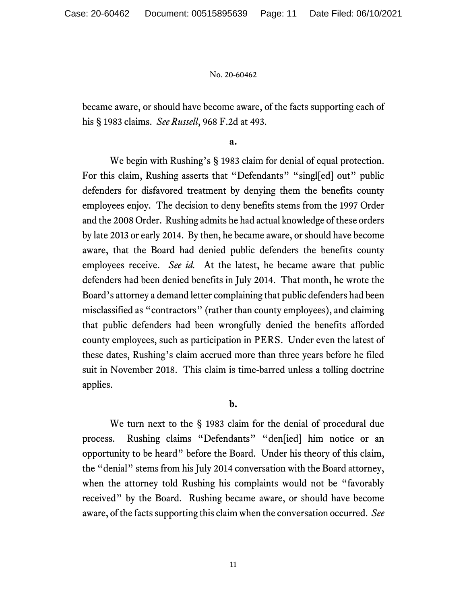became aware, or should have become aware, of the facts supporting each of his § 1983 claims. *See Russell*, 968 F.2d at 493.

**a.** 

We begin with Rushing's § 1983 claim for denial of equal protection. For this claim, Rushing asserts that "Defendants" "singled out" public defenders for disfavored treatment by denying them the benefits county employees enjoy. The decision to deny benefits stems from the 1997 Order and the 2008 Order. Rushing admits he had actual knowledge of these orders by late 2013 or early 2014. By then, he became aware, or should have become aware, that the Board had denied public defenders the benefits county employees receive. *See id.* At the latest, he became aware that public defenders had been denied benefits in July 2014. That month, he wrote the Board's attorney a demand letter complaining that public defenders had been misclassified as "contractors" (rather than county employees), and claiming that public defenders had been wrongfully denied the benefits afforded county employees, such as participation in PERS. Under even the latest of these dates, Rushing's claim accrued more than three years before he filed suit in November 2018. This claim is time-barred unless a tolling doctrine applies.

# **b.**

We turn next to the § 1983 claim for the denial of procedural due process. Rushing claims "Defendants" "den[ied] him notice or an opportunity to be heard" before the Board. Under his theory of this claim, the "denial" stems from his July 2014 conversation with the Board attorney, when the attorney told Rushing his complaints would not be "favorably received" by the Board. Rushing became aware, or should have become aware, of the facts supporting this claim when the conversation occurred. *See*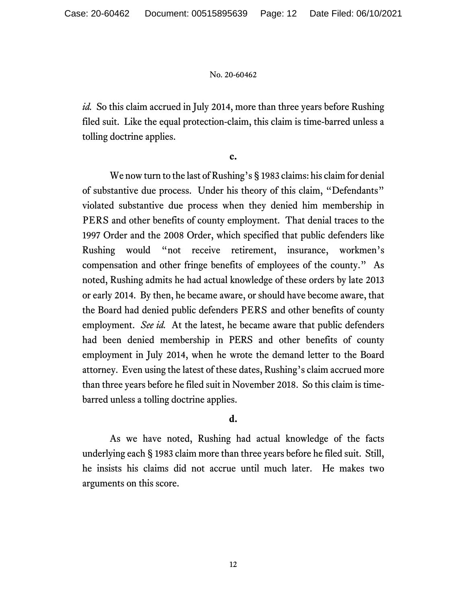*id.* So this claim accrued in July 2014, more than three years before Rushing filed suit. Like the equal protection-claim, this claim is time-barred unless a tolling doctrine applies.

**c.** 

We now turn to the last of Rushing's § 1983 claims: his claim for denial of substantive due process. Under his theory of this claim, "Defendants" violated substantive due process when they denied him membership in PERS and other benefits of county employment. That denial traces to the 1997 Order and the 2008 Order, which specified that public defenders like Rushing would "not receive retirement, insurance, workmen's compensation and other fringe benefits of employees of the county." As noted, Rushing admits he had actual knowledge of these orders by late 2013 or early 2014. By then, he became aware, or should have become aware, that the Board had denied public defenders PERS and other benefits of county employment. *See id.* At the latest, he became aware that public defenders had been denied membership in PERS and other benefits of county employment in July 2014, when he wrote the demand letter to the Board attorney. Even using the latest of these dates, Rushing's claim accrued more than three years before he filed suit in November 2018. So this claim is timebarred unless a tolling doctrine applies.

# **d.**

As we have noted, Rushing had actual knowledge of the facts underlying each § 1983 claim more than three years before he filed suit. Still, he insists his claims did not accrue until much later. He makes two arguments on this score.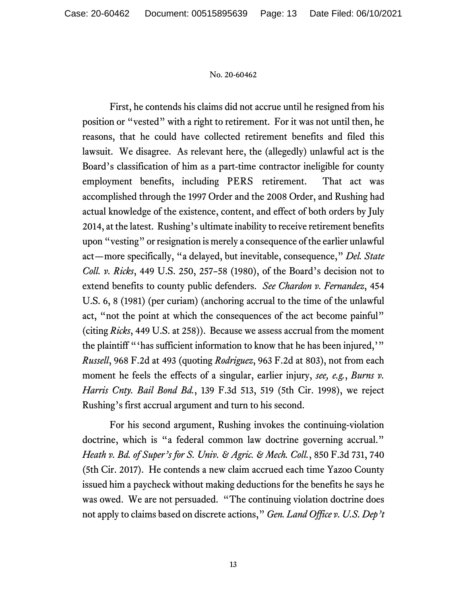First, he contends his claims did not accrue until he resigned from his position or "vested" with a right to retirement. For it was not until then, he reasons, that he could have collected retirement benefits and filed this lawsuit. We disagree. As relevant here, the (allegedly) unlawful act is the Board's classification of him as a part-time contractor ineligible for county employment benefits, including PERS retirement. That act was accomplished through the 1997 Order and the 2008 Order, and Rushing had actual knowledge of the existence, content, and effect of both orders by July 2014, at the latest. Rushing's ultimate inability to receive retirement benefits upon "vesting" or resignation is merely a consequence of the earlier unlawful act—more specifically, "a delayed, but inevitable, consequence," *Del. State Coll. v. Ricks*, 449 U.S. 250, 257–58 (1980), of the Board's decision not to extend benefits to county public defenders. *See Chardon v. Fernandez*, 454 U.S. 6, 8 (1981) (per curiam) (anchoring accrual to the time of the unlawful act, "not the point at which the consequences of the act become painful" (citing *Ricks*, 449 U.S. at 258)). Because we assess accrual from the moment the plaintiff "'has sufficient information to know that he has been injured,'" *Russell*, 968 F.2d at 493 (quoting *Rodriguez*, 963 F.2d at 803), not from each moment he feels the effects of a singular, earlier injury, *see, e.g.*, *Burns v. Harris Cnty. Bail Bond Bd.*, 139 F.3d 513, 519 (5th Cir. 1998), we reject Rushing's first accrual argument and turn to his second.

For his second argument, Rushing invokes the continuing-violation doctrine, which is "a federal common law doctrine governing accrual." *Heath v. Bd. of Super's for S. Univ. & Agric. & Mech. Coll.*, 850 F.3d 731, 740 (5th Cir. 2017). He contends a new claim accrued each time Yazoo County issued him a paycheck without making deductions for the benefits he says he was owed. We are not persuaded. "The continuing violation doctrine does not apply to claims based on discrete actions," *Gen. Land Office v. U.S. Dep't*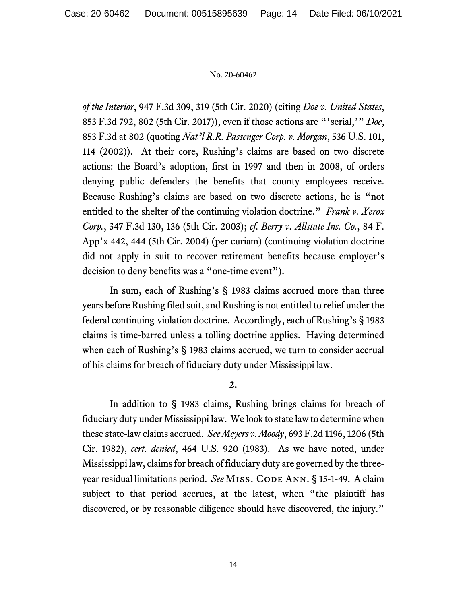*of the Interior*, 947 F.3d 309, 319 (5th Cir. 2020) (citing *Doe v. United States*, 853 F.3d 792, 802 (5th Cir. 2017)), even if those actions are "'serial,'" *Doe*, 853 F.3d at 802 (quoting *Nat'l R.R. Passenger Corp. v. Morgan*, 536 U.S. 101, 114 (2002)). At their core, Rushing's claims are based on two discrete actions: the Board's adoption, first in 1997 and then in 2008, of orders denying public defenders the benefits that county employees receive. Because Rushing's claims are based on two discrete actions, he is "not entitled to the shelter of the continuing violation doctrine." *Frank v. Xerox Corp.*, 347 F.3d 130, 136 (5th Cir. 2003); *cf. Berry v. Allstate Ins. Co.*, 84 F. App'x 442, 444 (5th Cir. 2004) (per curiam) (continuing-violation doctrine did not apply in suit to recover retirement benefits because employer's decision to deny benefits was a "one-time event").

In sum, each of Rushing's § 1983 claims accrued more than three years before Rushing filed suit, and Rushing is not entitled to relief under the federal continuing-violation doctrine. Accordingly, each of Rushing's § 1983 claims is time-barred unless a tolling doctrine applies. Having determined when each of Rushing's § 1983 claims accrued, we turn to consider accrual of his claims for breach of fiduciary duty under Mississippi law.

## **2.**

In addition to § 1983 claims, Rushing brings claims for breach of fiduciary duty under Mississippi law. We look to state law to determine when these state-law claims accrued. *See Meyers v. Moody*, 693 F.2d 1196, 1206 (5th Cir. 1982), *cert. denied*, 464 U.S. 920 (1983). As we have noted, under Mississippi law, claims for breach of fiduciary duty are governed by the threeyear residual limitations period. See MISS. CODE ANN. § 15-1-49. A claim subject to that period accrues, at the latest, when "the plaintiff has discovered, or by reasonable diligence should have discovered, the injury."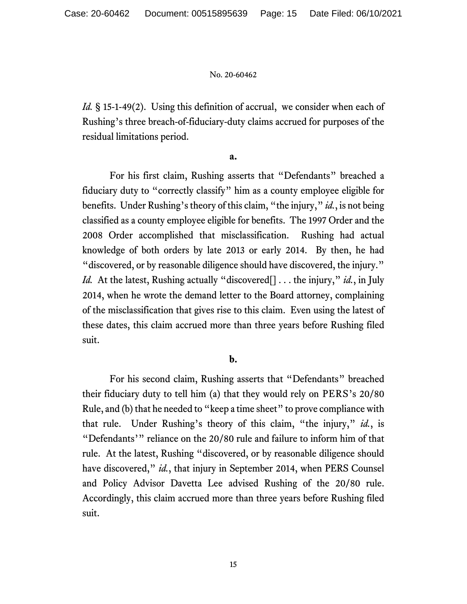*Id.* § 15-1-49(2). Using this definition of accrual, we consider when each of Rushing's three breach-of-fiduciary-duty claims accrued for purposes of the residual limitations period.

### **a.**

For his first claim, Rushing asserts that "Defendants" breached a fiduciary duty to "correctly classify" him as a county employee eligible for benefits. Under Rushing's theory of this claim, "the injury," *id.*, is not being classified as a county employee eligible for benefits. The 1997 Order and the 2008 Order accomplished that misclassification. Rushing had actual knowledge of both orders by late 2013 or early 2014. By then, he had "discovered, or by reasonable diligence should have discovered, the injury." *Id.* At the latest, Rushing actually "discovered<sup>[]</sup> . . . the injury," *id.*, in July 2014, when he wrote the demand letter to the Board attorney, complaining of the misclassification that gives rise to this claim. Even using the latest of these dates, this claim accrued more than three years before Rushing filed suit.

## **b.**

For his second claim, Rushing asserts that "Defendants" breached their fiduciary duty to tell him (a) that they would rely on PERS's 20/80 Rule, and (b) that he needed to "keep a time sheet" to prove compliance with that rule. Under Rushing's theory of this claim, "the injury," *id.*, is "Defendants'" reliance on the 20/80 rule and failure to inform him of that rule. At the latest, Rushing "discovered, or by reasonable diligence should have discovered," *id.*, that injury in September 2014, when PERS Counsel and Policy Advisor Davetta Lee advised Rushing of the 20/80 rule. Accordingly, this claim accrued more than three years before Rushing filed suit.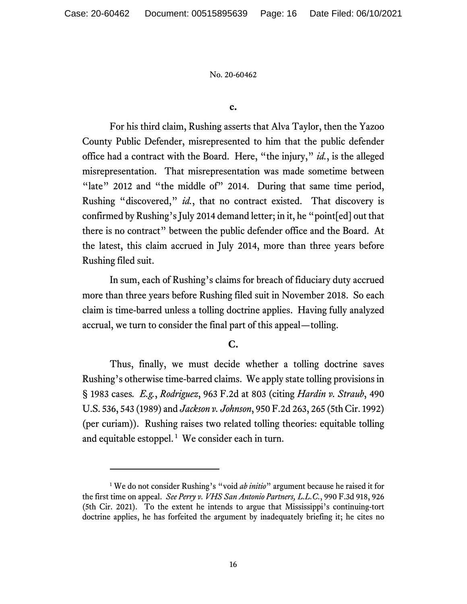#### **c.**

For his third claim, Rushing asserts that Alva Taylor, then the Yazoo County Public Defender, misrepresented to him that the public defender office had a contract with the Board. Here, "the injury," *id.*, is the alleged misrepresentation. That misrepresentation was made sometime between "late" 2012 and "the middle of" 2014. During that same time period, Rushing "discovered," *id.*, that no contract existed. That discovery is confirmed by Rushing's July 2014 demand letter; in it, he "point[ed] out that there is no contract" between the public defender office and the Board. At the latest, this claim accrued in July 2014, more than three years before Rushing filed suit.

In sum, each of Rushing's claims for breach of fiduciary duty accrued more than three years before Rushing filed suit in November 2018. So each claim is time-barred unless a tolling doctrine applies. Having fully analyzed accrual, we turn to consider the final part of this appeal—tolling.

# **C.**

Thus, finally, we must decide whether a tolling doctrine saves Rushing's otherwise time-barred claims. We apply state tolling provisions in § 1983 cases*. E.g.*, *Rodriguez*, 963 F.2d at 803 (citing *Hardin v. Straub*, 490 U.S. 536, 543 (1989) and *Jackson v. Johnson*, 950 F.2d 263, 265 (5th Cir. 1992) (per curiam)). Rushing raises two related tolling theories: equitable tolling and equitable estoppel.<sup>1</sup> We consider each in turn.

<sup>&</sup>lt;sup>1</sup> We do not consider Rushing's "void *ab initio*" argument because he raised it for the first time on appeal. *See Perry v. VHS San Antonio Partners, L.L.C.*, 990 F.3d 918, 926 (5th Cir. 2021). To the extent he intends to argue that Mississippi's continuing-tort doctrine applies, he has forfeited the argument by inadequately briefing it; he cites no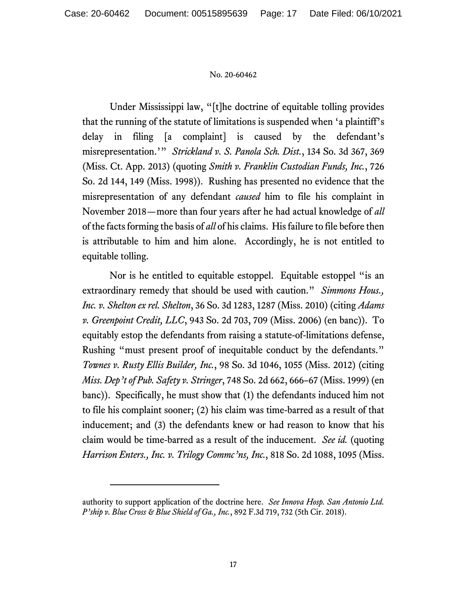Under Mississippi law, "[t]he doctrine of equitable tolling provides that the running of the statute of limitations is suspended when 'a plaintiff's delay in filing [a complaint] is caused by the defendant's misrepresentation.'" *Strickland v. S. Panola Sch. Dist.*, 134 So. 3d 367, 369 (Miss. Ct. App. 2013) (quoting *Smith v. Franklin Custodian Funds, Inc.*, 726 So. 2d 144, 149 (Miss. 1998)). Rushing has presented no evidence that the misrepresentation of any defendant *caused* him to file his complaint in November 2018—more than four years after he had actual knowledge of *all*  of the facts forming the basis of *all* of his claims. His failure to file before then is attributable to him and him alone. Accordingly, he is not entitled to equitable tolling.

Nor is he entitled to equitable estoppel. Equitable estoppel "is an extraordinary remedy that should be used with caution." *Simmons Hous., Inc. v. Shelton ex rel. Shelton*, 36 So. 3d 1283, 1287 (Miss. 2010) (citing *Adams v. Greenpoint Credit, LLC*, 943 So. 2d 703, 709 (Miss. 2006) (en banc)). To equitably estop the defendants from raising a statute-of-limitations defense, Rushing "must present proof of inequitable conduct by the defendants." *Townes v. Rusty Ellis Builder, Inc.*, 98 So. 3d 1046, 1055 (Miss. 2012) (citing *Miss. Dep't of Pub. Safety v. Stringer*, 748 So. 2d 662, 666–67 (Miss. 1999) (en banc)). Specifically, he must show that (1) the defendants induced him not to file his complaint sooner; (2) his claim was time-barred as a result of that inducement; and (3) the defendants knew or had reason to know that his claim would be time-barred as a result of the inducement. *See id.* (quoting *Harrison Enters., Inc. v. Trilogy Commc'ns, Inc.*, 818 So. 2d 1088, 1095 (Miss.

authority to support application of the doctrine here. *See Innova Hosp. San Antonio Ltd. P'ship v. Blue Cross & Blue Shield of Ga., Inc.*, 892 F.3d 719, 732 (5th Cir. 2018).